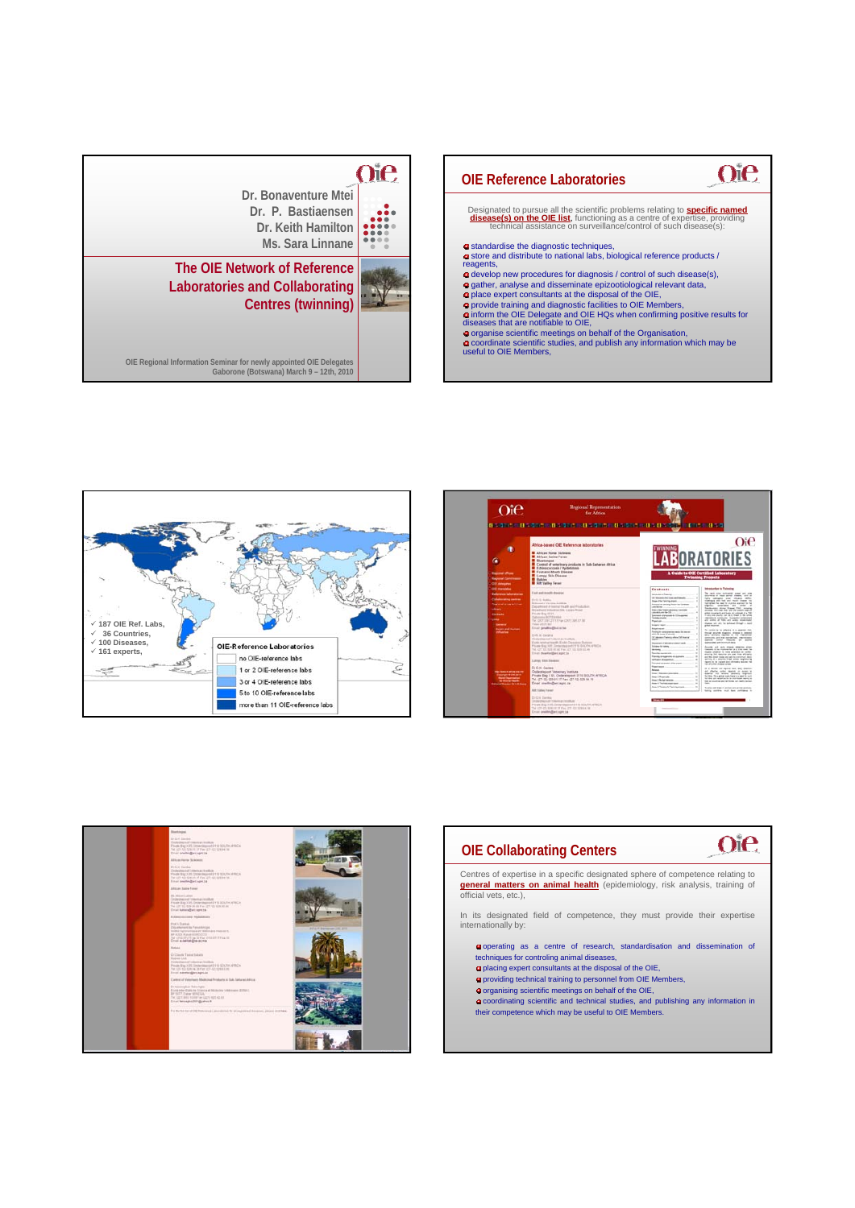| Dr. Bonaventure Mtei<br>Dr. P. Bastiaensen<br>Dr. Keith Hamilton<br>Ms. Sara Linnane                                                                                                                                 |  |
|----------------------------------------------------------------------------------------------------------------------------------------------------------------------------------------------------------------------|--|
| The OIE Network of Reference<br><b>Laboratories and Collaborating</b><br><b>Centres (twinning)</b><br>OIE Regional Information Seminar for newly appointed OIE Delegates<br>Gaborone (Botswana) March 9 - 12th, 2010 |  |









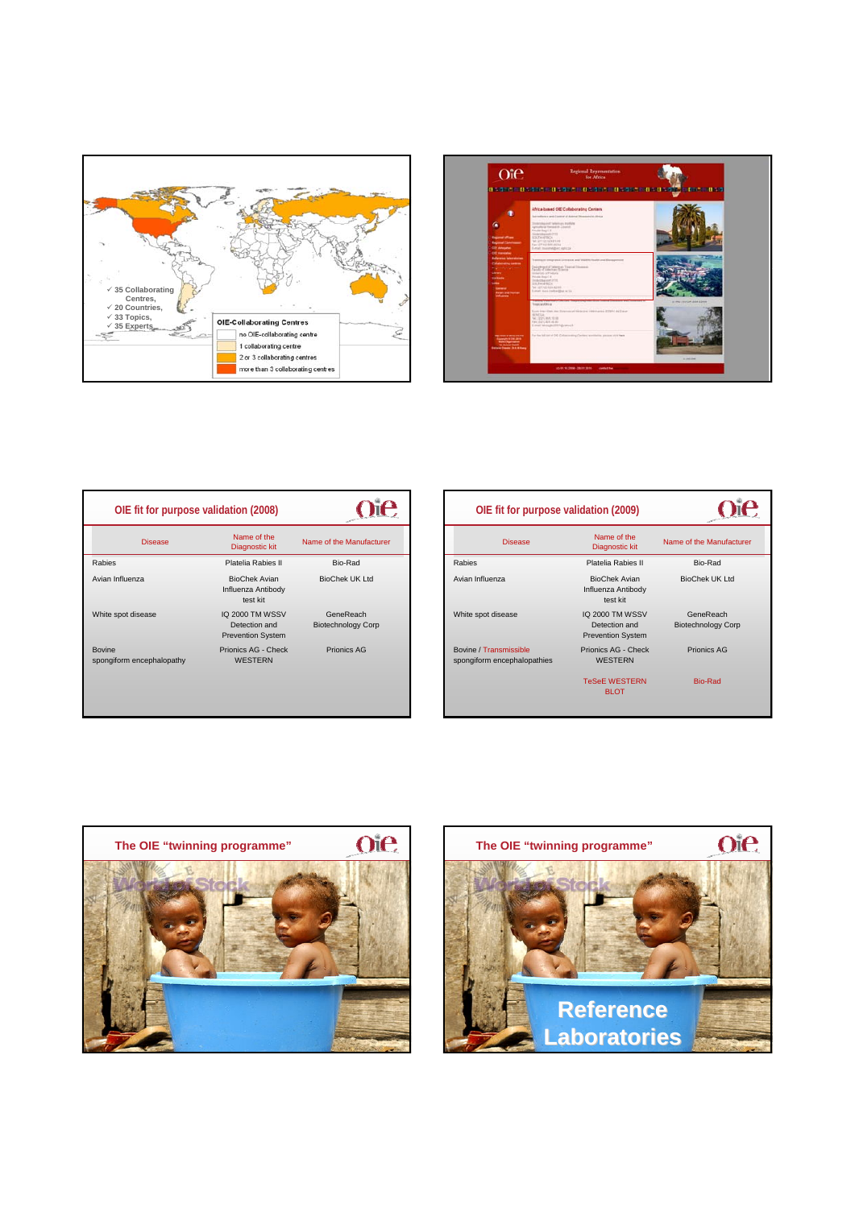



| OIE fit for purpose validation (2008) |                                                              |                                        |
|---------------------------------------|--------------------------------------------------------------|----------------------------------------|
| <b>Disease</b>                        | Name of the<br><b>Diagnostic kit</b>                         | Name of the Manufacturer               |
| Rabies                                | Platelia Rabies II                                           | Bio-Rad                                |
| Avian Influenza                       | <b>BioChek Avian</b><br>Influenza Antibody<br>test kit       | <b>BioChek UK Ltd</b>                  |
| White spot disease                    | IQ 2000 TM WSSV<br>Detection and<br><b>Prevention System</b> | GeneReach<br><b>Biotechnology Corp</b> |
| Bovine<br>spongiform encephalopathy   | Prionics AG - Check<br><b>WESTERN</b>                        | <b>Prionics AG</b>                     |
|                                       |                                                              |                                        |

| OIE fit for purpose validation (2009)                 |                                                              |                                        |
|-------------------------------------------------------|--------------------------------------------------------------|----------------------------------------|
| <b>Disease</b>                                        | Name of the<br>Diagnostic kit                                | Name of the Manufacturer               |
| Rabies                                                | Platelia Rabies II                                           | Bio-Rad                                |
| Avian Influenza                                       | <b>BioChek Avian</b><br>Influenza Antibody<br>test kit       | <b>BioChek UK Ltd</b>                  |
| White spot disease                                    | IQ 2000 TM WSSV<br>Detection and<br><b>Prevention System</b> | GeneReach<br><b>Biotechnology Corp</b> |
| Bovine / Transmissible<br>spongiform encephalopathies | Prionics AG - Check<br><b>WESTERN</b>                        | Prionics AG                            |
|                                                       | <b>TeSeE WESTERN</b><br><b>BLOT</b>                          | <b>Bio-Rad</b>                         |



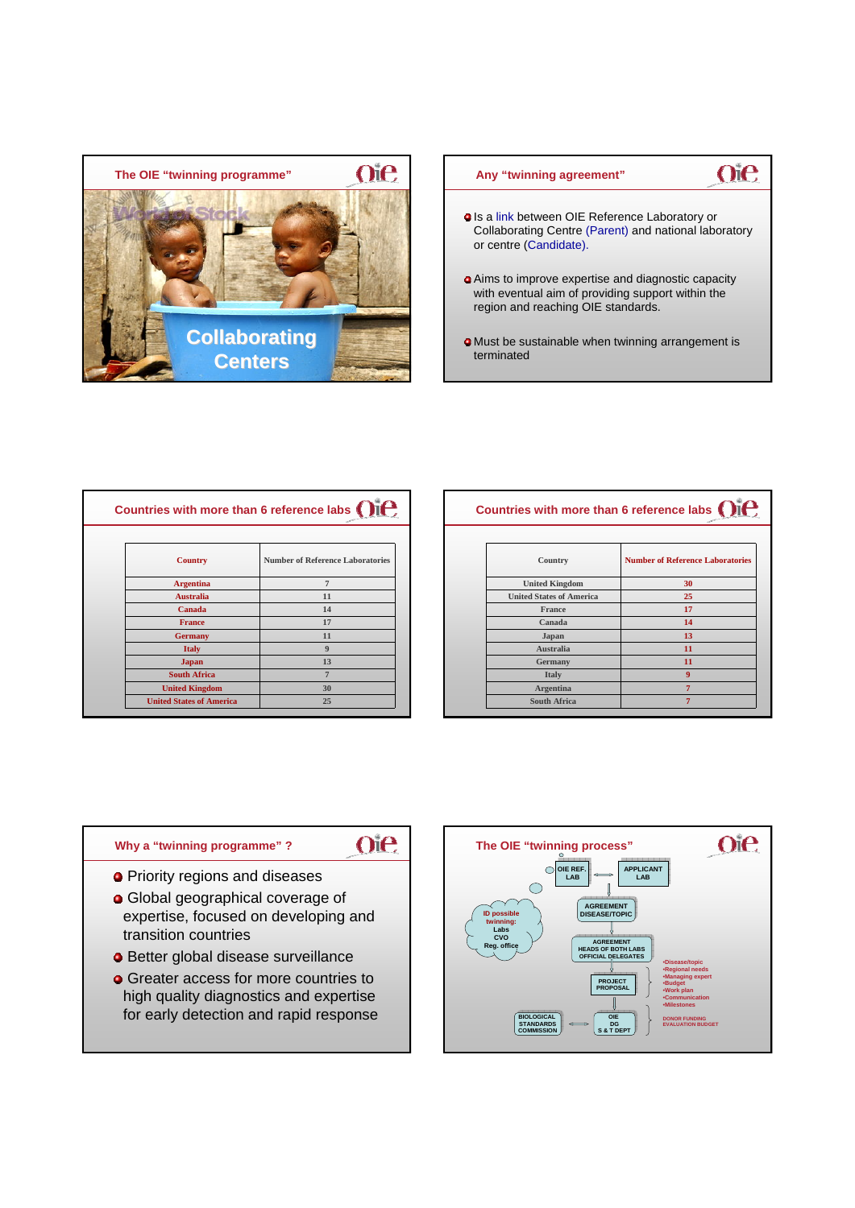



| Countries with more than 6 reference labs ( ) |                                         |
|-----------------------------------------------|-----------------------------------------|
| <b>Country</b>                                | <b>Number of Reference Laboratories</b> |
| <b>Argentina</b>                              | $\overline{7}$                          |
| <b>Australia</b>                              | 11                                      |
| Canada                                        | 14                                      |
| <b>France</b>                                 | 17                                      |
| <b>Germany</b>                                | 11                                      |
| <b>Italy</b>                                  | $\boldsymbol{9}$                        |
| <b>Japan</b>                                  | 13                                      |
| <b>South Africa</b>                           | $\overline{7}$                          |
| <b>United Kingdom</b>                         | 30                                      |
| <b>United States of America</b>               | 25                                      |

| Country                         | <b>Number of Reference Laboratories</b> |
|---------------------------------|-----------------------------------------|
| <b>United Kingdom</b>           | 30                                      |
| <b>United States of America</b> | 25                                      |
| <b>France</b>                   | 17                                      |
| Canada                          | 14                                      |
| Japan                           | 13                                      |
| <b>Australia</b>                | 11                                      |
| Germany                         | 11                                      |
| <b>Italy</b>                    | $\boldsymbol{9}$                        |
| <b>Argentina</b>                | $\overline{7}$                          |
| <b>South Africa</b>             | $\overline{7}$                          |

 $\mathbf{a}^{\mathbf{a}}$ 



- 
- **G** Greater access for more countries to high quality diagnostics and expertise for early detection and rapid response

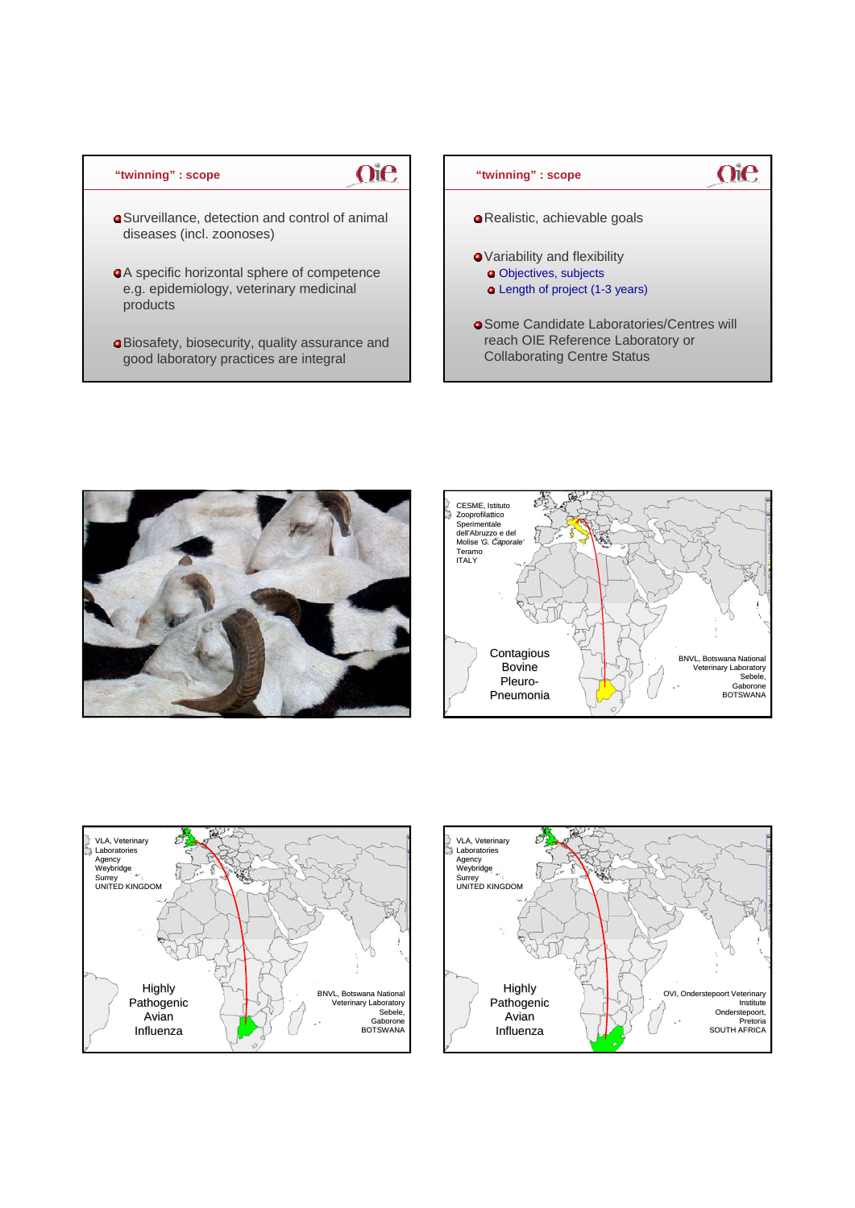## **"twinning" : scope**

## Surveillance, detection and control of animal diseases (incl. zoonoses)

oie

- A specific horizontal sphere of competence e.g. epidemiology, veterinary medicinal products
- Biosafety, biosecurity, quality assurance and good laboratory practices are integral









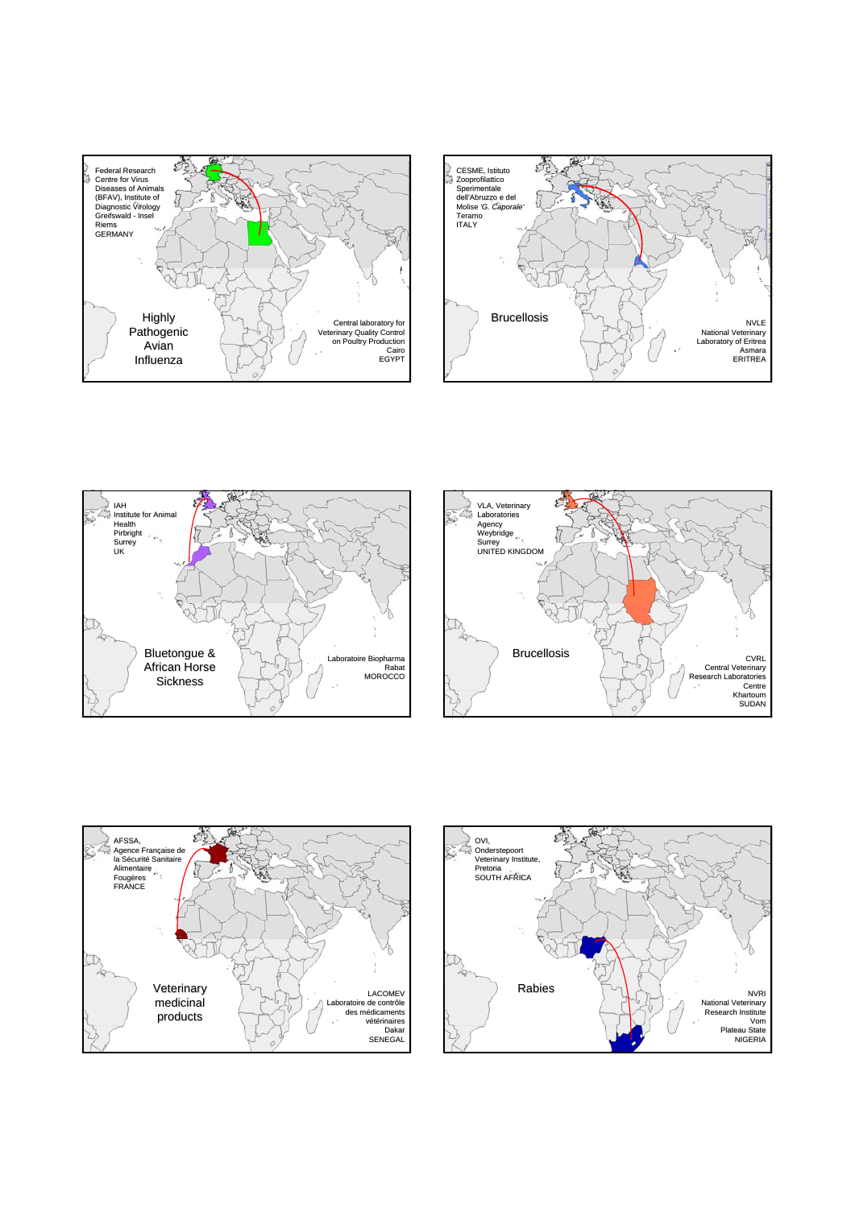









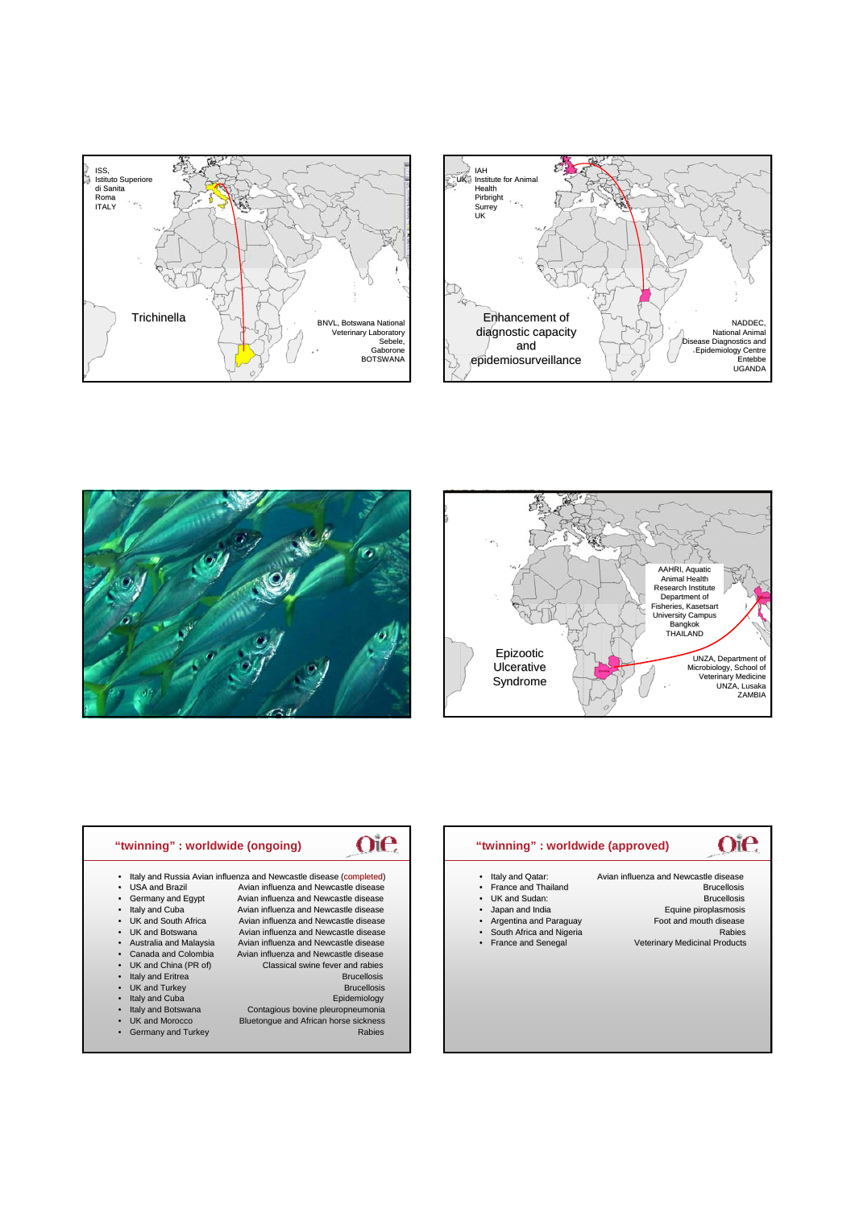







| Italy and Qatar:                | Avian influenza and Newcastle disease |
|---------------------------------|---------------------------------------|
| • France and Thailand           | <b>Brucellosis</b>                    |
| • UK and Sudan:                 | <b>Brucellosis</b>                    |
| Japan and India                 | Equine piroplasmosis                  |
| Argentina and Paraguay          | Foot and mouth disease                |
| South Africa and Nigeria        | Rabies                                |
| France and Senegal<br>$\bullet$ | <b>Veterinary Medicinal Products</b>  |
|                                 |                                       |
|                                 |                                       |
|                                 |                                       |
|                                 |                                       |
|                                 |                                       |
|                                 |                                       |
|                                 |                                       |

| "twinning": worldwide (ongoing)   |                                                                    |
|-----------------------------------|--------------------------------------------------------------------|
|                                   | Italy and Russia Avian influenza and Newcastle disease (completed) |
| <b>USA and Brazil</b>             | Avian influenza and Newcastle disease                              |
| Germany and Egypt                 | Avian influenza and Newcastle disease                              |
| Italy and Cuba<br>$\bullet$       | Avian influenza and Newcastle disease                              |
| UK and South Africa<br>$\bullet$  | Avian influenza and Newcastle disease                              |
| UK and Botswana                   | Avian influenza and Newcastle disease                              |
| Australia and Malaysia<br>٠       | Avian influenza and Newcastle disease                              |
| Canada and Colombia<br>$\bullet$  | Avian influenza and Newcastle disease                              |
| UK and China (PR of)<br>$\bullet$ | Classical swine fever and rabies                                   |
| Italy and Eritrea<br>$\bullet$    | <b>Brucellosis</b>                                                 |
| UK and Turkey                     | <b>Brucellosis</b>                                                 |
| Italy and Cuba                    | Epidemiology                                                       |
| Italy and Botswana<br>$\bullet$   | Contagious bovine pleuropneumonia                                  |
| UK and Morocco<br>$\bullet$       | Bluetongue and African horse sickness                              |
| Germany and Turkey                | <b>Rabies</b>                                                      |
|                                   |                                                                    |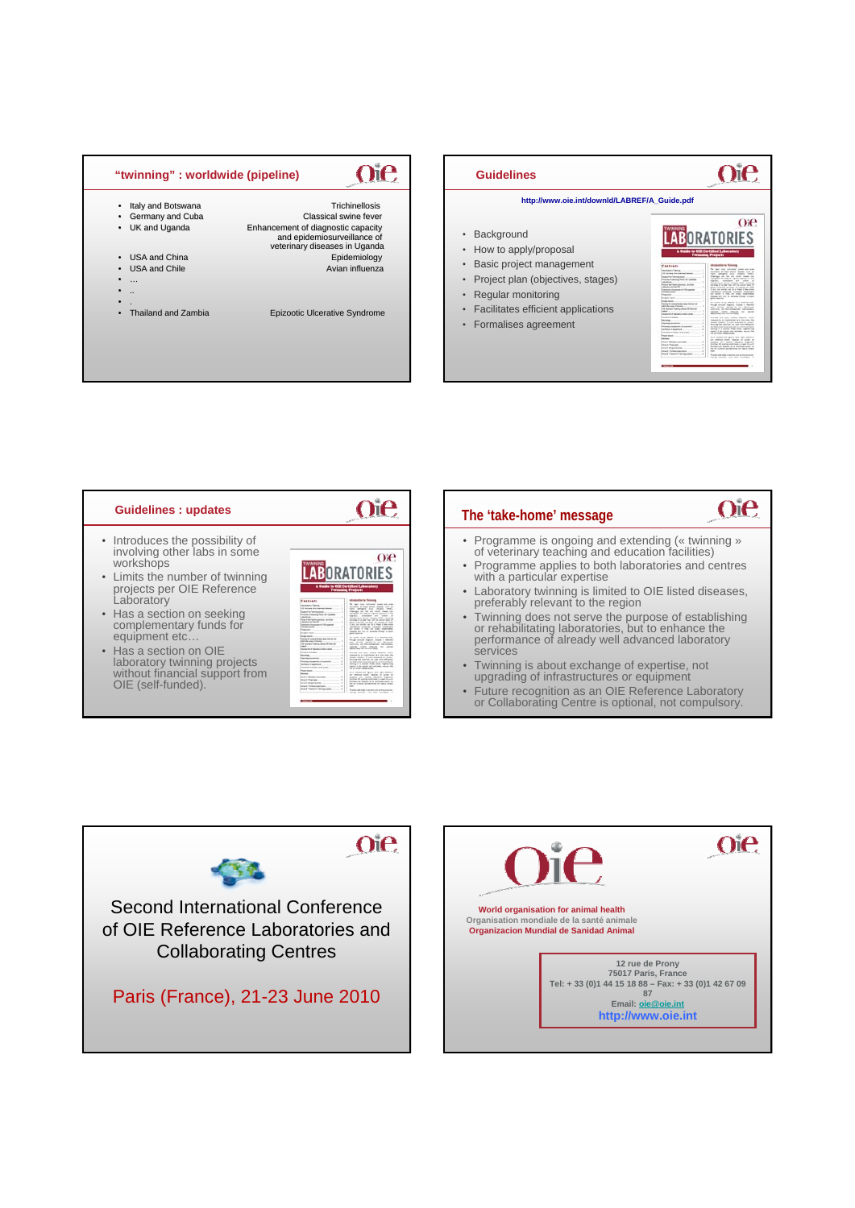